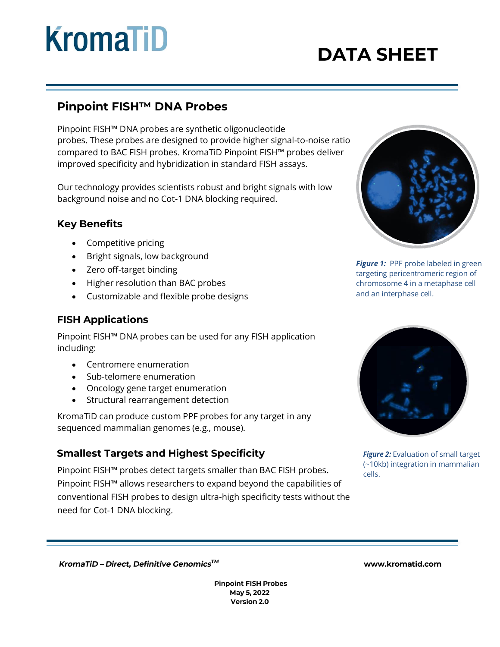# **KromaTiD**

# **DATA SHEET**

# Pinpoint FISH™ DNA Probes

Pinpoint FISH™ DNA probes are synthetic oligonucleotide probes. These probes are designed to provide higher signal-to-noise ratio compared to BAC FISH probes. KromaTiD Pinpoint FISH™ probes deliver improved specificity and hybridization in standard FISH assays.

Our technology provides scientists robust and bright signals with low background noise and no Cot-1 DNA blocking required.

### **Key Benefits**

- Competitive pricing
- Bright signals, low background
- Zero off-target binding
- Higher resolution than BAC probes
- Customizable and flexible probe designs

## **FISH Applications**

Pinpoint FISH™ DNA probes can be used for any FISH application including:

- Centromere enumeration
- Sub-telomere enumeration
- Oncology gene target enumeration
- Structural rearrangement detection

KromaTiD can produce custom PPF probes for any target in any sequenced mammalian genomes (e.g., mouse).

### **Smallest Targets and Highest Specificity**

Pinpoint FISH™ probes detect targets smaller than BAC FISH probes. Pinpoint FISH™ allows researchers to expand beyond the capabilities of conventional FISH probes to design ultra-high specificity tests without the need for Cot-1 DNA blocking.



**Figure 1:** PPF probe labeled in green targeting pericentromeric region of chromosome 4 in a metaphase cell and an interphase cell.



*Figure 2:* Evaluation of small target (~10kb) integration in mammalian cells.

KromaTiD - Direct, Definitive Genomics™

**Pinpoint FISH Probes** May 5, 2022 Version 2.0

#### www.kromatid.com